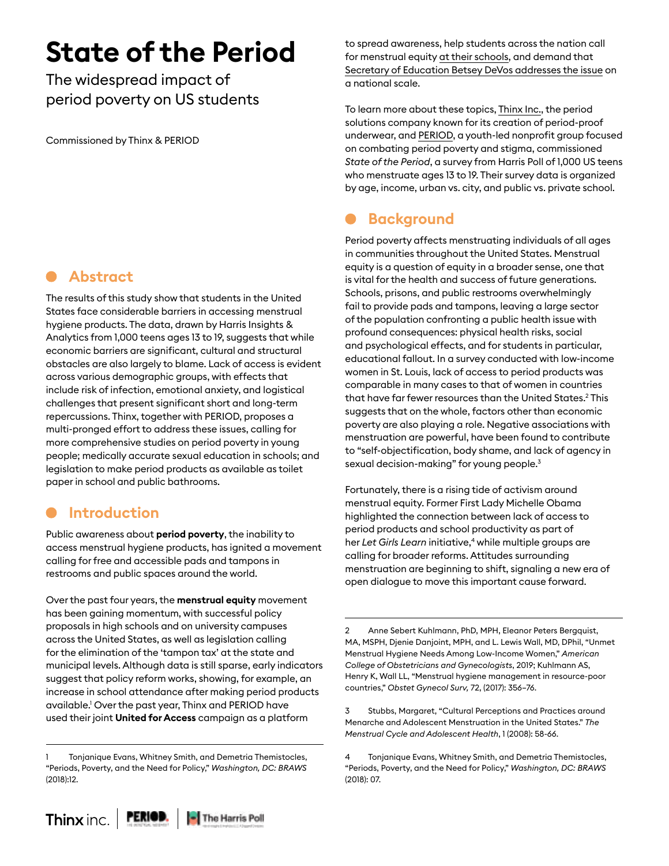# **State of the Period**

The widespread impact of period poverty on US students

Commissioned by Thinx & PERIOD

## **Abstract**

The results of this study show that students in the United States face considerable barriers in accessing menstrual hygiene products. The data, drawn by Harris Insights & Analytics from 1,000 teens ages 13 to 19, suggests that while economic barriers are significant, cultural and structural obstacles are also largely to blame. Lack of access is evident across various demographic groups, with effects that include risk of infection, emotional anxiety, and logistical challenges that present significant short and long-term repercussions. Thinx, together with PERIOD, proposes a multi-pronged effort to address these issues, calling for more comprehensive studies on period poverty in young people; medically accurate sexual education in schools; and legislation to make period products as available as toilet paper in school and public bathrooms.

## **Introduction**

Public awareness about **period poverty**, the inability to access menstrual hygiene products, has ignited a movement calling for free and accessible pads and tampons in restrooms and public spaces around the world.

Over the past four years, the **menstrual equity** movement has been gaining momentum, with successful policy proposals in high schools and on university campuses across the United States, as well as legislation calling for the elimination of the 'tampon tax' at the state and municipal levels. Although data is still sparse, early indicators suggest that policy reform works, showing, for example, an increase in school attendance after making period products available.1 Over the past year, Thinx and PERIOD have used their joint **United for Access** campaign as a platform

to spread awareness, help students across the nation call for menstrual equity [at their schools](https://www.dailypress.com/news/education/vp-nw-cnu-period-petition-1211-20181210-story.html), and demand that [Secretary of Education Betsey DeVos addresses the issue](https://www.washingtonpost.com/education/2019/01/28/activists-call-education-secretary-devos-take-action-menstrual-equity-schools/?noredirect=on) on a national scale.

To learn more about these topics, [Thinx Inc.](https://www.shethinx.com/), the period solutions company known for its creation of period-proof underwear, and [PERIOD,](https://www.period.org/) a youth-led nonprofit group focused on combating period poverty and stigma, commissioned *State of the Period*, a survey from Harris Poll of 1,000 US teens who menstruate ages 13 to 19. Their survey data is organized by age, income, urban vs. city, and public vs. private school.

## **Background**

Period poverty affects menstruating individuals of all ages in communities throughout the United States. Menstrual equity is a question of equity in a broader sense, one that is vital for the health and success of future generations. Schools, prisons, and public restrooms overwhelmingly fail to provide pads and tampons, leaving a large sector of the population confronting a public health issue with profound consequences: physical health risks, social and psychological effects, and for students in particular, educational fallout. In a survey conducted with low-income women in St. Louis, lack of access to period products was comparable in many cases to that of women in countries that have far fewer resources than the United States.2 This suggests that on the whole, factors other than economic poverty are also playing a role. Negative associations with menstruation are powerful, have been found to contribute to "self-objectification, body shame, and lack of agency in sexual decision-making" for young people.<sup>3</sup>

Fortunately, there is a rising tide of activism around menstrual equity. Former First Lady Michelle Obama highlighted the connection between lack of access to period products and school productivity as part of her *Let Girls Learn* initiative,<sup>4</sup> while multiple groups are calling for broader reforms. Attitudes surrounding menstruation are beginning to shift, signaling a new era of open dialogue to move this important cause forward.

2 Anne Sebert Kuhlmann, PhD, MPH, Eleanor Peters Bergquist, MA, MSPH, Djenie Danjoint, MPH, and L. Lewis Wall, MD, DPhil, "Unmet Menstrual Hygiene Needs Among Low-Income Women," *American College of Obstetricians and Gynecologists*, 2019; Kuhlmann AS, Henry K, Wall LL, "Menstrual hygiene management in resource-poor countries," *Obstet Gynecol Surv,* 72, (2017): 356–76.

3 Stubbs, Margaret, "Cultural Perceptions and Practices around Menarche and Adolescent Menstruation in the United States." *The Menstrual Cycle and Adolescent Health*, 1 (2008): 58-66.

<sup>1</sup> Tonjanique Evans, Whitney Smith, and Demetria Themistocles, "Periods, Poverty, and the Need for Policy," *Washington, DC: BRAWS* (2018):12.

<sup>4</sup> Tonjanique Evans, Whitney Smith, and Demetria Themistocles, "Periods, Poverty, and the Need for Policy," *Washington, DC: BRAWS* (2018): 07.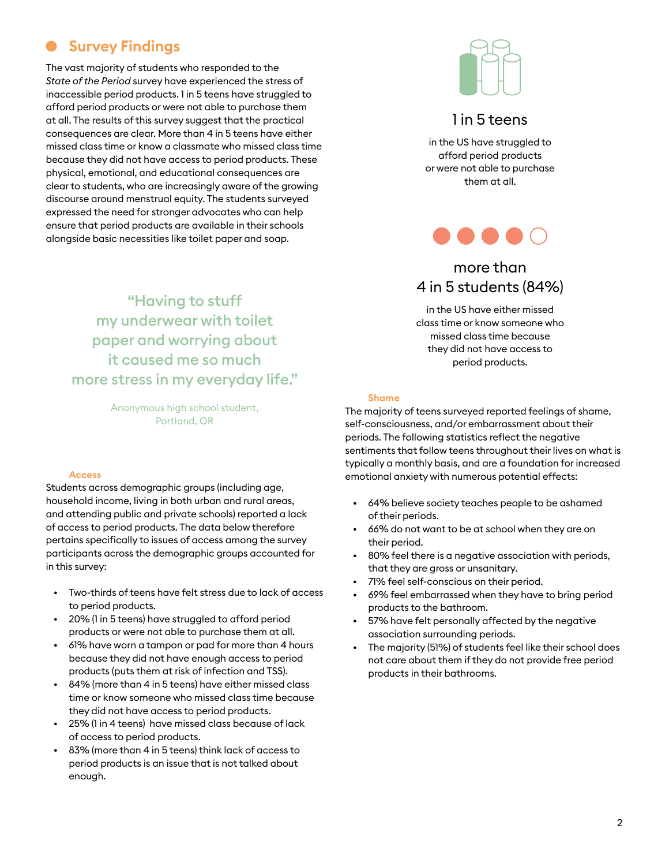## **Survey Findings**

The vast majority of students who responded to the *State of the Period* survey have experienced the stress of inaccessible period products. 1 in 5 teens have struggled to afford period products or were not able to purchase them at all. The results of this survey suggest that the practical consequences are clear. More than 4 in 5 teens have either missed class time or know a classmate who missed class time because they did not have access to period products. These physical, emotional, and educational consequences are clear to students, who are increasingly aware of the growing discourse around menstrual equity. The students surveyed expressed the need for stronger advocates who can help ensure that period products are available in their schools alongside basic necessities like toilet paper and soap.



#### 1 in 5 teens

in the US have struggled to afford period products or were not able to purchase them at all.



### more than 4 in 5 students (84%)

in the US have either missed class time or know someone who missed class time because they did not have access to period products.

"Having to stuff my underwear with toilet paper and worrying about it caused me so much more stress in my everyday life."

> Anonymous high school student, Portland, OR

#### **Access**

Students across demographic groups (including age, household income, living in both urban and rural areas, and attending public and private schools) reported a lack of access to period products. The data below therefore pertains specifically to issues of access among the survey participants across the demographic groups accounted for in this survey:

- Two-thirds of teens have felt stress due to lack of access to period products.
- 20% (1 in 5 teens) have struggled to afford period products or were not able to purchase them at all.
- 61% have worn a tampon or pad for more than 4 hours because they did not have enough access to period products (puts them at risk of infection and TSS).
- 84% (more than 4 in 5 teens) have either missed class time or know someone who missed class time because they did not have access to period products.
- 25% (1 in 4 teens) have missed class because of lack of access to period products.
- 83% (more than 4 in 5 teens) think lack of access to period products is an issue that is not talked about enough.

#### **Shame**

The majority of teens surveyed reported feelings of shame, self-consciousness, and/or embarrassment about their periods. The following statistics reflect the negative sentiments that follow teens throughout their lives on what is typically a monthly basis, and are a foundation for increased emotional anxiety with numerous potential effects:

- 64% believe society teaches people to be ashamed of their periods.
- 66% do not want to be at school when they are on their period.
- 80% feel there is a negative association with periods, that they are gross or unsanitary.
- 71% feel self-conscious on their period.
- 69% feel embarrassed when they have to bring period products to the bathroom.
- 57% have felt personally affected by the negative association surrounding periods.
- The majority (51%) of students feel like their school does not care about them if they do not provide free period products in their bathrooms.